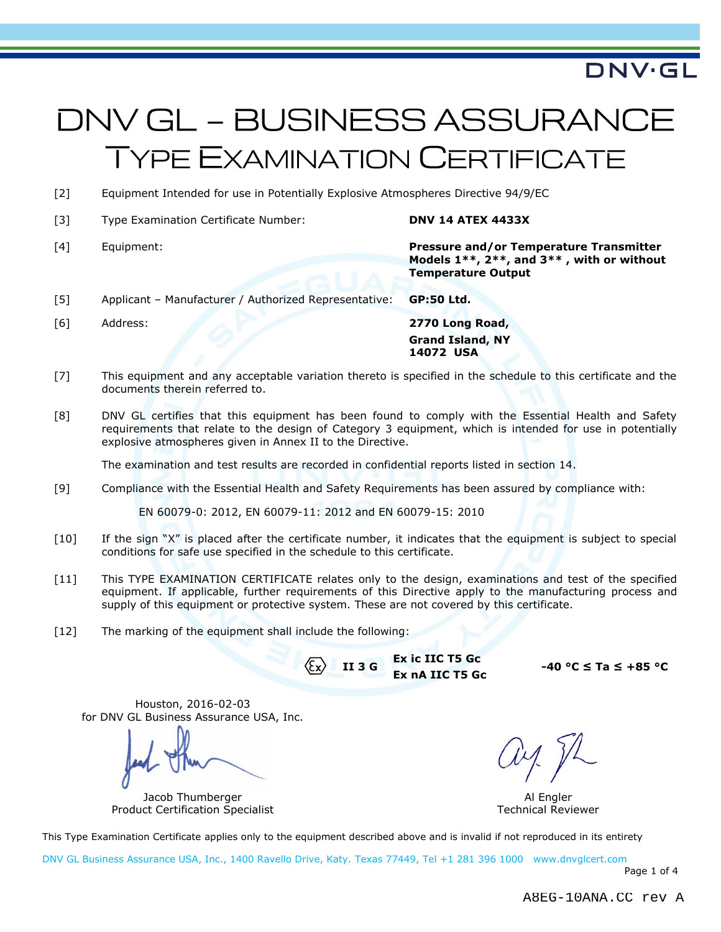## **DNV·GL**

# DNV GL - BUSINESS ASSURANCE **TYPE EXAMINATION CERTIFICATE**

- [2] Equipment Intended for use in Potentially Explosive Atmospheres Directive 94/9/EC
- [3] Type Examination Certificate Number: **DNV 14 ATEX 4433X**
- 

[4] Equipment: **Pressure and/or Temperature Transmitter Models 1\*\*, 2\*\*, and 3\*\* , with or without Temperature Output**

- [5] Applicant Manufacturer / Authorized Representative: **GP:50 Ltd.**
- [6] Address: **2770 Long Road,**

<span id="page-0-0"></span>

**Grand Island, NY 14072 USA**

- [7] This equipment and any acceptable variation thereto is specified in the schedule to this certificate and the documents therein referred to.
- [8] DNV GL certifies that this equipment has been found to comply with the Essential Health and Safety requirements that relate to the design of Category 3 equipment, which is intended for use in potentially explosive atmospheres given in Annex II to the Directive.

The examination and test results are recorded in confidential reports listed in section 14.

[9] Compliance with the Essential Health and Safety Requirements has been assured by compliance with:

EN 60079-0: 2012, EN 60079-11: 2012 and EN 60079-15: 2010

- [10] If the sign "X" is placed after the certificate number, it indicates that the equipment is subject to special conditions for safe use specified in the schedule to this certificate.
- [11] This TYPE EXAMINATION CERTIFICATE relates only to the design, examinations and test of the specified equipment. If applicable, further requirements of this Directive apply to the manufacturing process and supply of this equipment or protective system. These are not covered by this certificate.
- [12] The marking of the equipment shall include the following:

**II 3 G Ex ic IIC T5 Gc Ex nA IIC T5 Gc**

**-40 °C ≤ Ta ≤ +85 °C**

Houston, 2016-02-03 for DNV GL Business Assurance USA, Inc.

Jacob Thumberger Al Engler Product Certification Specialist

This Type Examination Certificate applies only to the equipment described above and is invalid if not reproduced in its entirety

DNV GL Business Assurance USA, Inc., 1400 Ravello Drive, Katy. Texas 77449, Tel +1 281 396 1000 www.dnvglcert.com

Page 1 of 4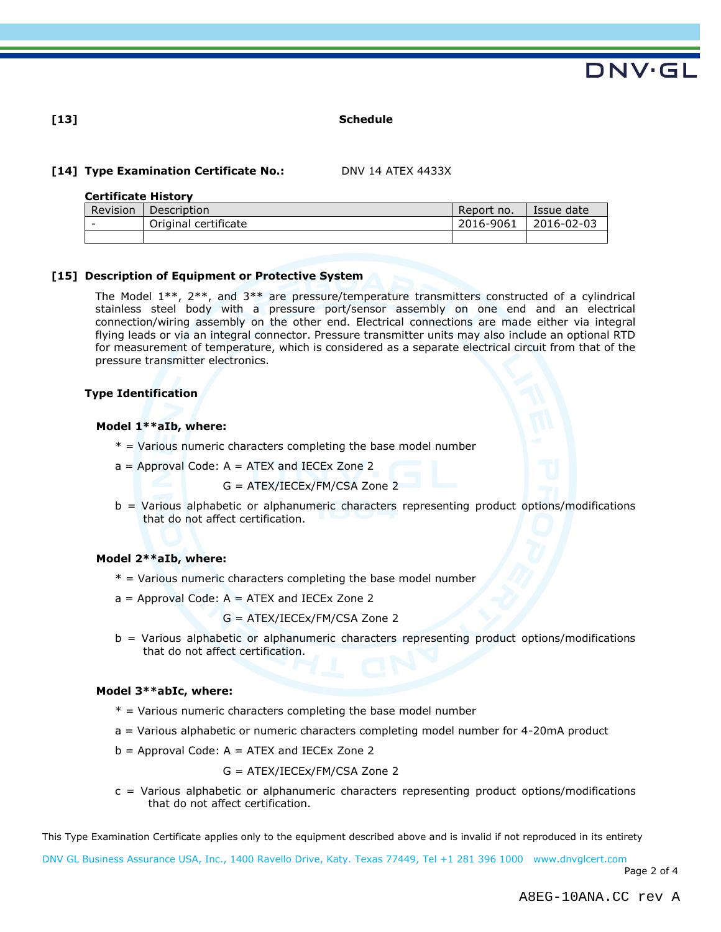

#### **[13] Schedule**

#### **[14] Type Examination Certificate No.:** DNV 14 [ATEX 4433X](#page-0-0)

#### **Certificate History**

| Revision | Description          | Report no. | Issue date |
|----------|----------------------|------------|------------|
| -        | Original certificate | 2016-9061  | 2016-02-03 |
|          |                      |            |            |

#### **[15] Description of Equipment or Protective System**

The Model 1\*\*, 2\*\*, and 3\*\* are pressure/temperature transmitters constructed of a cylindrical stainless steel body with a pressure port/sensor assembly on one end and an electrical connection/wiring assembly on the other end. Electrical connections are made either via integral flying leads or via an integral connector. Pressure transmitter units may also include an optional RTD for measurement of temperature, which is considered as a separate electrical circuit from that of the pressure transmitter electronics.

#### **Type Identification**

#### **Model 1\*\*aIb, where:**

- $*$  = Various numeric characters completing the base model number
- $a =$  Approval Code:  $A =$  ATEX and IECEx Zone 2

G = ATEX/IECEx/FM/CSA Zone 2

b = Various alphabetic or alphanumeric characters representing product options/modifications that do not affect certification.

#### **Model 2\*\*aIb, where:**

- $*$  = Various numeric characters completing the base model number
- $a =$  Approval Code:  $A =$  ATEX and IECEx Zone 2

G = ATEX/IECEx/FM/CSA Zone 2

b = Various alphabetic or alphanumeric characters representing product options/modifications that do not affect certification.

#### **Model 3\*\*abIc, where:**

- $*$  = Various numeric characters completing the base model number
- a = Various alphabetic or numeric characters completing model number for 4-20mA product
- $b =$  Approval Code:  $A =$  ATEX and IECEx Zone 2

#### G = ATEX/IECEx/FM/CSA Zone 2

c = Various alphabetic or alphanumeric characters representing product options/modifications that do not affect certification.

This Type Examination Certificate applies only to the equipment described above and is invalid if not reproduced in its entirety

DNV GL Business Assurance USA, Inc., 1400 Ravello Drive, Katy. Texas 77449, Tel +1 281 396 1000 www.dnvglcert.com

Page 2 of 4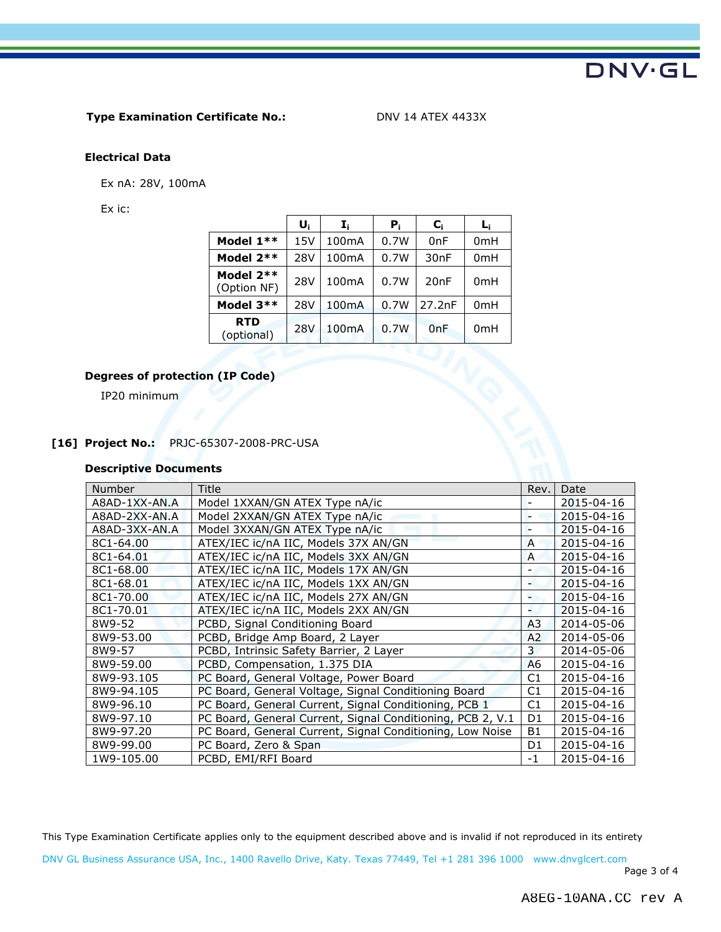

#### **Type Examination Certificate No.:** DNV 14 [ATEX 4433X](#page-0-0)

### **Electrical Data**

Ex nA: 28V, 100mA

Ex ic:

|                            | U,  | I,                 | P,   | C.               | L,              |
|----------------------------|-----|--------------------|------|------------------|-----------------|
| Model $1**$                | 15V | 100mA              | 0.7W | 0 <sub>nF</sub>  | 0mH             |
| Model 2**                  | 28V | 100 <sub>m</sub> A | 0.7W | 30 <sub>nF</sub> | 0mH             |
| Model $2**$<br>(Option NF) | 28V | 100 <sub>m</sub> A | 0.7W | 20nF             | 0 <sub>mH</sub> |
| Model 3**                  | 28V | 100mA              | 0.7W | 27.2nF           | 0mH             |
| <b>RTD</b><br>(optional)   | 28V | 100mA              | 0.7W | 0nF              | 0 <sub>mH</sub> |

### **Degrees of protection (IP Code)**

IP20 minimum

#### **[16] Project No.:** PRJC-65307-2008-PRC-USA

#### **Descriptive Documents**

| Number        | Title                                                      | Rev.           | Date       |
|---------------|------------------------------------------------------------|----------------|------------|
| A8AD-1XX-AN.A | Model 1XXAN/GN ATEX Type nA/ic                             |                | 2015-04-16 |
| A8AD-2XX-AN.A | Model 2XXAN/GN ATEX Type nA/ic                             |                | 2015-04-16 |
| A8AD-3XX-AN.A | Model 3XXAN/GN ATEX Type nA/ic                             |                | 2015-04-16 |
| 8C1-64.00     | ATEX/IEC ic/nA IIC, Models 37X AN/GN                       | A              | 2015-04-16 |
| 8C1-64.01     | ATEX/IEC ic/nA IIC, Models 3XX AN/GN                       | $\overline{A}$ | 2015-04-16 |
| 8C1-68.00     | ATEX/IEC ic/nA IIC, Models 17X AN/GN                       |                | 2015-04-16 |
| 8C1-68.01     | ATEX/IEC ic/nA IIC, Models 1XX AN/GN                       |                | 2015-04-16 |
| 8C1-70.00     | ATEX/IEC ic/nA IIC, Models 27X AN/GN                       | ۰              | 2015-04-16 |
| 8C1-70.01     | ATEX/IEC ic/nA IIC, Models 2XX AN/GN                       | ۰              | 2015-04-16 |
| 8W9-52        | PCBD, Signal Conditioning Board                            | A <sub>3</sub> | 2014-05-06 |
| 8W9-53.00     | PCBD, Bridge Amp Board, 2 Layer                            | A <sub>2</sub> | 2014-05-06 |
| 8W9-57        | PCBD, Intrinsic Safety Barrier, 2 Layer                    | 3              | 2014-05-06 |
| 8W9-59.00     | PCBD, Compensation, 1.375 DIA                              | A6             | 2015-04-16 |
| 8W9-93.105    | PC Board, General Voltage, Power Board                     | C1             | 2015-04-16 |
| 8W9-94.105    | PC Board, General Voltage, Signal Conditioning Board       | C1             | 2015-04-16 |
| 8W9-96.10     | PC Board, General Current, Signal Conditioning, PCB 1      | C1             | 2015-04-16 |
| 8W9-97.10     | PC Board, General Current, Signal Conditioning, PCB 2, V.1 | D <sub>1</sub> | 2015-04-16 |
| 8W9-97.20     | PC Board, General Current, Signal Conditioning, Low Noise  | <b>B1</b>      | 2015-04-16 |
| 8W9-99.00     | PC Board, Zero & Span                                      | D <sub>1</sub> | 2015-04-16 |
| 1W9-105.00    | PCBD, EMI/RFI Board                                        | $-1$           | 2015-04-16 |

This Type Examination Certificate applies only to the equipment described above and is invalid if not reproduced in its entirety

DNV GL Business Assurance USA, Inc., 1400 Ravello Drive, Katy. Texas 77449, Tel +1 281 396 1000 www.dnvglcert.com

Page 3 of 4